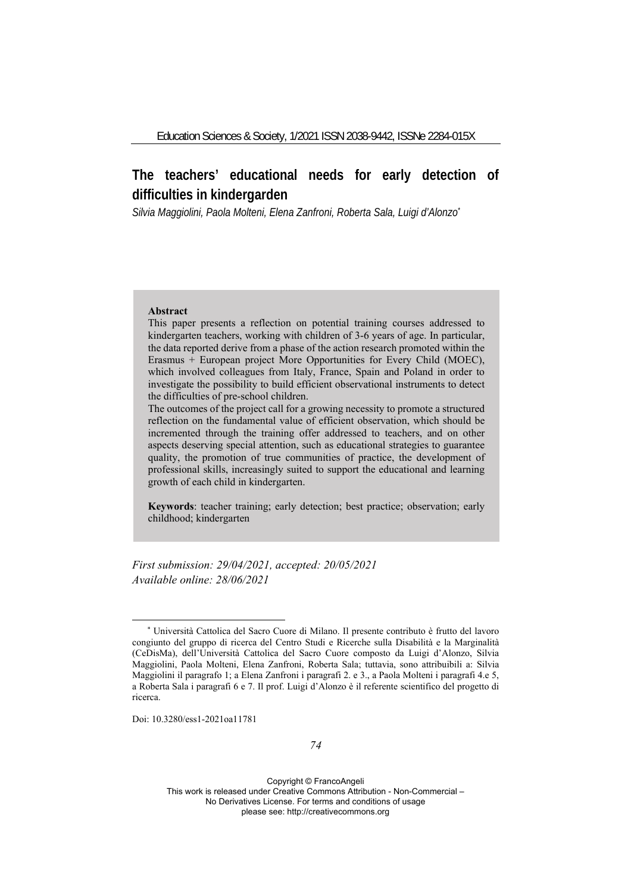# **The teachers' educational needs for early detection of difficulties in kindergarden**

*Silvia Maggiolini, Paola Molteni, Elena Zanfroni, Roberta Sala, Luigi d'Alonzo\**

#### **Abstract**

This paper presents a reflection on potential training courses addressed to kindergarten teachers, working with children of 3-6 years of age. In particular, the data reported derive from a phase of the action research promoted within the Erasmus + European project More Opportunities for Every Child (MOEC), which involved colleagues from Italy, France, Spain and Poland in order to investigate the possibility to build efficient observational instruments to detect the difficulties of pre-school children.

The outcomes of the project call for a growing necessity to promote a structured reflection on the fundamental value of efficient observation, which should be incremented through the training offer addressed to teachers, and on other aspects deserving special attention, such as educational strategies to guarantee quality, the promotion of true communities of practice, the development of professional skills, increasingly suited to support the educational and learning growth of each child in kindergarten.

**Keywords**: teacher training; early detection; best practice; observation; early childhood; kindergarten

*First submission: 29/04/2021, accepted: 20/05/2021 Available online: 28/06/2021*

Doi: 10.3280/ess1-2021oa11781

<sup>\*</sup> Università Cattolica del Sacro Cuore di Milano. Il presente contributo è frutto del lavoro congiunto del gruppo di ricerca del Centro Studi e Ricerche sulla Disabilità e la Marginalità (CeDisMa), dell'Università Cattolica del Sacro Cuore composto da Luigi d'Alonzo, Silvia Maggiolini, Paola Molteni, Elena Zanfroni, Roberta Sala; tuttavia, sono attribuibili a: Silvia Maggiolini il paragrafo 1; a Elena Zanfroni i paragrafi 2. e 3., a Paola Molteni i paragrafi 4.e 5, a Roberta Sala i paragrafi 6 e 7. Il prof. Luigi d'Alonzo è il referente scientifico del progetto di ricerca.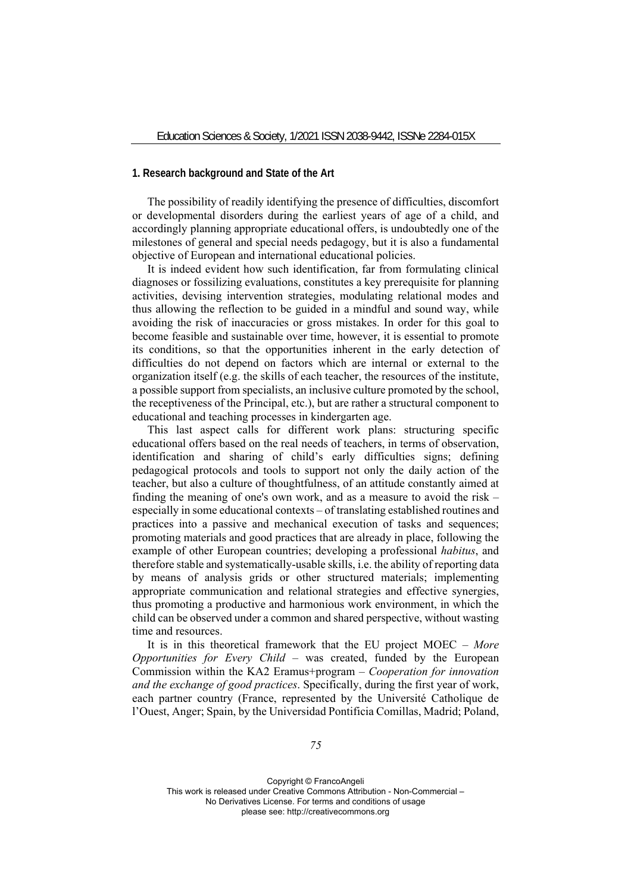#### **1. Research background and State of the Art**

The possibility of readily identifying the presence of difficulties, discomfort or developmental disorders during the earliest years of age of a child, and accordingly planning appropriate educational offers, is undoubtedly one of the milestones of general and special needs pedagogy, but it is also a fundamental objective of European and international educational policies.

It is indeed evident how such identification, far from formulating clinical diagnoses or fossilizing evaluations, constitutes a key prerequisite for planning activities, devising intervention strategies, modulating relational modes and thus allowing the reflection to be guided in a mindful and sound way, while avoiding the risk of inaccuracies or gross mistakes. In order for this goal to become feasible and sustainable over time, however, it is essential to promote its conditions, so that the opportunities inherent in the early detection of difficulties do not depend on factors which are internal or external to the organization itself (e.g. the skills of each teacher, the resources of the institute, a possible support from specialists, an inclusive culture promoted by the school, the receptiveness of the Principal, etc.), but are rather a structural component to educational and teaching processes in kindergarten age.

This last aspect calls for different work plans: structuring specific educational offers based on the real needs of teachers, in terms of observation, identification and sharing of child's early difficulties signs; defining pedagogical protocols and tools to support not only the daily action of the teacher, but also a culture of thoughtfulness, of an attitude constantly aimed at finding the meaning of one's own work, and as a measure to avoid the risk – especially in some educational contexts – of translating established routines and practices into a passive and mechanical execution of tasks and sequences; promoting materials and good practices that are already in place, following the example of other European countries; developing a professional *habitus*, and therefore stable and systematically-usable skills, i.e. the ability of reporting data by means of analysis grids or other structured materials; implementing appropriate communication and relational strategies and effective synergies, thus promoting a productive and harmonious work environment, in which the child can be observed under a common and shared perspective, without wasting time and resources.

It is in this theoretical framework that the EU project MOEC – *More Opportunities for Every Child* – was created, funded by the European Commission within the KA2 Eramus+program – *Cooperation for innovation and the exchange of good practices*. Specifically, during the first year of work, each partner country (France, represented by the Université Catholique de l'Ouest, Anger; Spain, by the Universidad Pontificia Comillas, Madrid; Poland,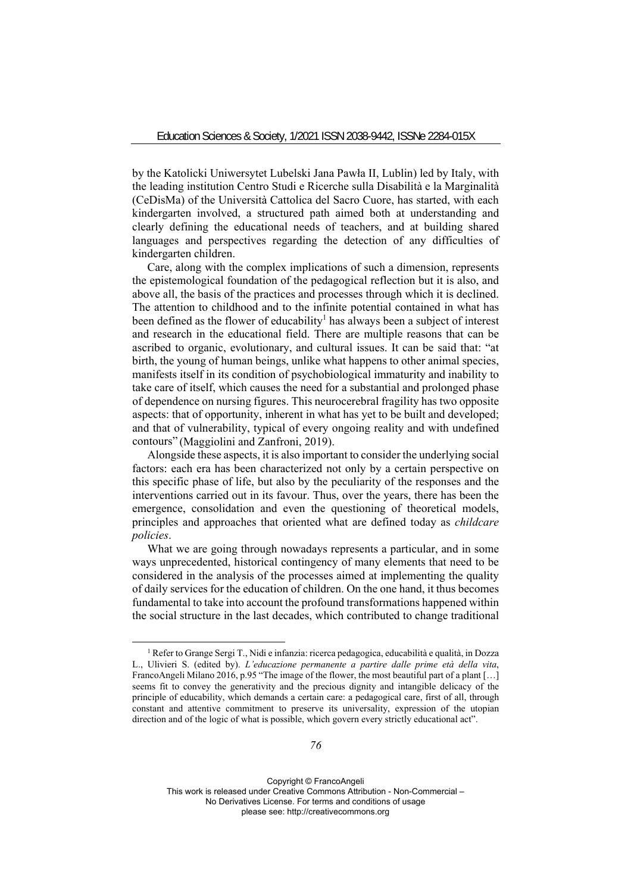by the Katolicki Uniwersytet Lubelski Jana Pawła II, Lublin) led by Italy, with the leading institution Centro Studi e Ricerche sulla Disabilità e la Marginalità (CeDisMa) of the Università Cattolica del Sacro Cuore, has started, with each kindergarten involved, a structured path aimed both at understanding and clearly defining the educational needs of teachers, and at building shared languages and perspectives regarding the detection of any difficulties of kindergarten children.

Care, along with the complex implications of such a dimension, represents the epistemological foundation of the pedagogical reflection but it is also, and above all, the basis of the practices and processes through which it is declined. The attention to childhood and to the infinite potential contained in what has been defined as the flower of educability<sup>1</sup> has always been a subject of interest and research in the educational field. There are multiple reasons that can be ascribed to organic, evolutionary, and cultural issues. It can be said that: "at birth, the young of human beings, unlike what happens to other animal species, manifests itself in its condition of psychobiological immaturity and inability to take care of itself, which causes the need for a substantial and prolonged phase of dependence on nursing figures. This neurocerebral fragility has two opposite aspects: that of opportunity, inherent in what has yet to be built and developed; and that of vulnerability, typical of every ongoing reality and with undefined contours" (Maggiolini and Zanfroni, 2019).

Alongside these aspects, it is also important to consider the underlying social factors: each era has been characterized not only by a certain perspective on this specific phase of life, but also by the peculiarity of the responses and the interventions carried out in its favour. Thus, over the years, there has been the emergence, consolidation and even the questioning of theoretical models, principles and approaches that oriented what are defined today as *childcare policies*.

What we are going through nowadays represents a particular, and in some ways unprecedented, historical contingency of many elements that need to be considered in the analysis of the processes aimed at implementing the quality of daily services for the education of children. On the one hand, it thus becomes fundamental to take into account the profound transformations happened within the social structure in the last decades, which contributed to change traditional

<sup>&</sup>lt;sup>1</sup> Refer to Grange Sergi T., Nidi e infanzia: ricerca pedagogica, educabilità e qualità, in Dozza L., Ulivieri S. (edited by). *L'educazione permanente a partire dalle prime età della vita*, FrancoAngeli Milano 2016, p.95 "The image of the flower, the most beautiful part of a plant [...] seems fit to convey the generativity and the precious dignity and intangible delicacy of the principle of educability, which demands a certain care: a pedagogical care, first of all, through constant and attentive commitment to preserve its universality, expression of the utopian direction and of the logic of what is possible, which govern every strictly educational act".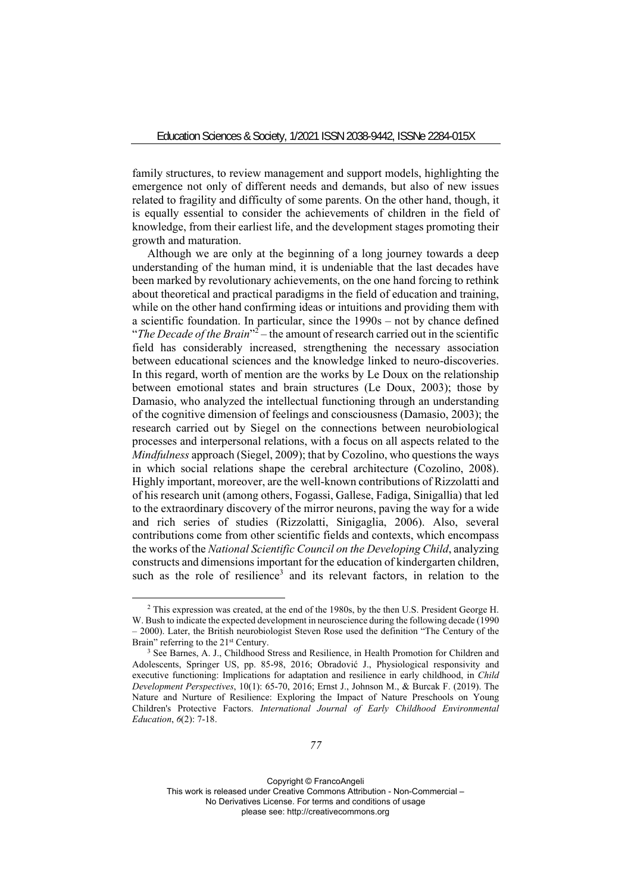family structures, to review management and support models, highlighting the emergence not only of different needs and demands, but also of new issues related to fragility and difficulty of some parents. On the other hand, though, it is equally essential to consider the achievements of children in the field of knowledge, from their earliest life, and the development stages promoting their growth and maturation.

Although we are only at the beginning of a long journey towards a deep understanding of the human mind, it is undeniable that the last decades have been marked by revolutionary achievements, on the one hand forcing to rethink about theoretical and practical paradigms in the field of education and training, while on the other hand confirming ideas or intuitions and providing them with a scientific foundation. In particular, since the 1990s – not by chance defined "The Decade of the Brain<sup>"2</sup> – the amount of research carried out in the scientific field has considerably increased, strengthening the necessary association between educational sciences and the knowledge linked to neuro-discoveries. In this regard, worth of mention are the works by Le Doux on the relationship between emotional states and brain structures (Le Doux, 2003); those by Damasio, who analyzed the intellectual functioning through an understanding of the cognitive dimension of feelings and consciousness (Damasio, 2003); the research carried out by Siegel on the connections between neurobiological processes and interpersonal relations, with a focus on all aspects related to the *Mindfulness* approach (Siegel, 2009); that by Cozolino, who questions the ways in which social relations shape the cerebral architecture (Cozolino, 2008). Highly important, moreover, are the well-known contributions of Rizzolatti and of his research unit (among others, Fogassi, Gallese, Fadiga, Sinigallia) that led to the extraordinary discovery of the mirror neurons, paving the way for a wide and rich series of studies (Rizzolatti, Sinigaglia, 2006). Also, several contributions come from other scientific fields and contexts, which encompass the works of the *National Scientific Council on the Developing Child*, analyzing constructs and dimensions important for the education of kindergarten children, such as the role of resilience<sup>3</sup> and its relevant factors, in relation to the

<sup>2</sup> This expression was created, at the end of the 1980s, by the then U.S. President George H. W. Bush to indicate the expected development in neuroscience during the following decade (1990 – 2000). Later, the British neurobiologist Steven Rose used the definition "The Century of the Brain" referring to the 21<sup>st</sup> Century.<br><sup>3</sup> See Barnes, A. J., Childhood Stress and Resilience, in Health Promotion for Children and

Adolescents, Springer US, pp. 85-98, 2016; Obradović J., Physiological responsivity and executive functioning: Implications for adaptation and resilience in early childhood, in *Child Development Perspectives*, 10(1): 65-70, 2016; Ernst J., Johnson M., & Burcak F. (2019). The Nature and Nurture of Resilience: Exploring the Impact of Nature Preschools on Young Children's Protective Factors. *International Journal of Early Childhood Environmental Education*, *6*(2): 7-18.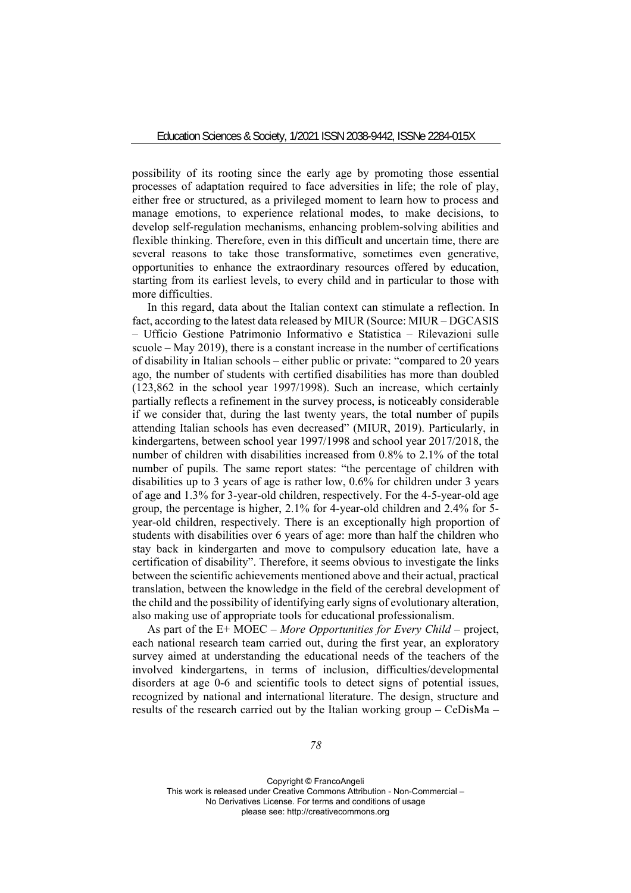possibility of its rooting since the early age by promoting those essential processes of adaptation required to face adversities in life; the role of play, either free or structured, as a privileged moment to learn how to process and manage emotions, to experience relational modes, to make decisions, to develop self-regulation mechanisms, enhancing problem-solving abilities and flexible thinking. Therefore, even in this difficult and uncertain time, there are several reasons to take those transformative, sometimes even generative, opportunities to enhance the extraordinary resources offered by education, starting from its earliest levels, to every child and in particular to those with more difficulties.

In this regard, data about the Italian context can stimulate a reflection. In fact, according to the latest data released by MIUR (Source: MIUR – DGCASIS – Ufficio Gestione Patrimonio Informativo e Statistica – Rilevazioni sulle scuole – May 2019), there is a constant increase in the number of certifications of disability in Italian schools – either public or private: "compared to 20 years ago, the number of students with certified disabilities has more than doubled (123,862 in the school year 1997/1998). Such an increase, which certainly partially reflects a refinement in the survey process, is noticeably considerable if we consider that, during the last twenty years, the total number of pupils attending Italian schools has even decreased" (MIUR, 2019). Particularly, in kindergartens, between school year 1997/1998 and school year 2017/2018, the number of children with disabilities increased from 0.8% to 2.1% of the total number of pupils. The same report states: "the percentage of children with disabilities up to 3 years of age is rather low, 0.6% for children under 3 years of age and 1.3% for 3-year-old children, respectively. For the 4-5-year-old age group, the percentage is higher, 2.1% for 4-year-old children and 2.4% for 5 year-old children, respectively. There is an exceptionally high proportion of students with disabilities over 6 years of age: more than half the children who stay back in kindergarten and move to compulsory education late, have a certification of disability". Therefore, it seems obvious to investigate the links between the scientific achievements mentioned above and their actual, practical translation, between the knowledge in the field of the cerebral development of the child and the possibility of identifying early signs of evolutionary alteration, also making use of appropriate tools for educational professionalism.

As part of the E+ MOEC – *More Opportunities for Every Child –* project, each national research team carried out, during the first year, an exploratory survey aimed at understanding the educational needs of the teachers of the involved kindergartens, in terms of inclusion, difficulties/developmental disorders at age 0-6 and scientific tools to detect signs of potential issues, recognized by national and international literature. The design, structure and results of the research carried out by the Italian working group – CeDisMa –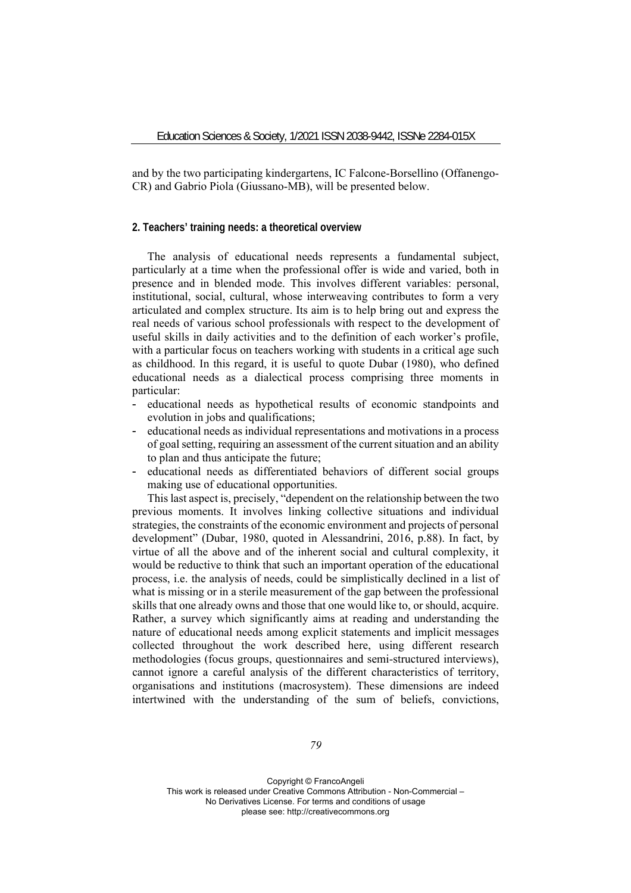and by the two participating kindergartens, IC Falcone-Borsellino (Offanengo-CR) and Gabrio Piola (Giussano-MB), will be presented below.

# **2. Teachers' training needs: a theoretical overview**

The analysis of educational needs represents a fundamental subject, particularly at a time when the professional offer is wide and varied, both in presence and in blended mode. This involves different variables: personal, institutional, social, cultural, whose interweaving contributes to form a very articulated and complex structure. Its aim is to help bring out and express the real needs of various school professionals with respect to the development of useful skills in daily activities and to the definition of each worker's profile, with a particular focus on teachers working with students in a critical age such as childhood. In this regard, it is useful to quote Dubar (1980), who defined educational needs as a dialectical process comprising three moments in particular:

- educational needs as hypothetical results of economic standpoints and evolution in jobs and qualifications;
- educational needs as individual representations and motivations in a process of goal setting, requiring an assessment of the current situation and an ability to plan and thus anticipate the future;
- educational needs as differentiated behaviors of different social groups making use of educational opportunities.

This last aspect is, precisely, "dependent on the relationship between the two previous moments. It involves linking collective situations and individual strategies, the constraints of the economic environment and projects of personal development" (Dubar, 1980, quoted in Alessandrini, 2016, p.88). In fact, by virtue of all the above and of the inherent social and cultural complexity, it would be reductive to think that such an important operation of the educational process, i.e. the analysis of needs, could be simplistically declined in a list of what is missing or in a sterile measurement of the gap between the professional skills that one already owns and those that one would like to, or should, acquire. Rather, a survey which significantly aims at reading and understanding the nature of educational needs among explicit statements and implicit messages collected throughout the work described here, using different research methodologies (focus groups, questionnaires and semi-structured interviews), cannot ignore a careful analysis of the different characteristics of territory, organisations and institutions (macrosystem). These dimensions are indeed intertwined with the understanding of the sum of beliefs, convictions,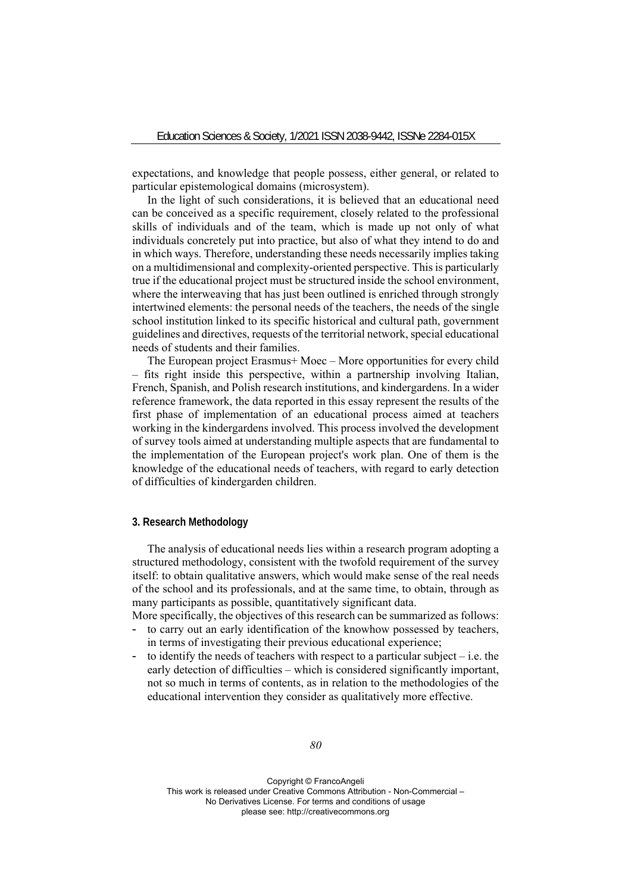expectations, and knowledge that people possess, either general, or related to particular epistemological domains (microsystem).

In the light of such considerations, it is believed that an educational need can be conceived as a specific requirement, closely related to the professional skills of individuals and of the team, which is made up not only of what individuals concretely put into practice, but also of what they intend to do and in which ways. Therefore, understanding these needs necessarily implies taking on a multidimensional and complexity-oriented perspective. This is particularly true if the educational project must be structured inside the school environment, where the interweaving that has just been outlined is enriched through strongly intertwined elements: the personal needs of the teachers, the needs of the single school institution linked to its specific historical and cultural path, government guidelines and directives, requests of the territorial network, special educational needs of students and their families.

The European project Erasmus+ Moec – More opportunities for every child – fits right inside this perspective, within a partnership involving Italian, French, Spanish, and Polish research institutions, and kindergardens. In a wider reference framework, the data reported in this essay represent the results of the first phase of implementation of an educational process aimed at teachers working in the kindergardens involved. This process involved the development of survey tools aimed at understanding multiple aspects that are fundamental to the implementation of the European project's work plan. One of them is the knowledge of the educational needs of teachers, with regard to early detection of difficulties of kindergarden children.

## **3. Research Methodology**

The analysis of educational needs lies within a research program adopting a structured methodology, consistent with the twofold requirement of the survey itself: to obtain qualitative answers, which would make sense of the real needs of the school and its professionals, and at the same time, to obtain, through as many participants as possible, quantitatively significant data.

More specifically, the objectives of this research can be summarized as follows:

- to carry out an early identification of the knowhow possessed by teachers, in terms of investigating their previous educational experience;
- to identify the needs of teachers with respect to a particular subject  $-$  i.e. the early detection of difficulties – which is considered significantly important, not so much in terms of contents, as in relation to the methodologies of the educational intervention they consider as qualitatively more effective.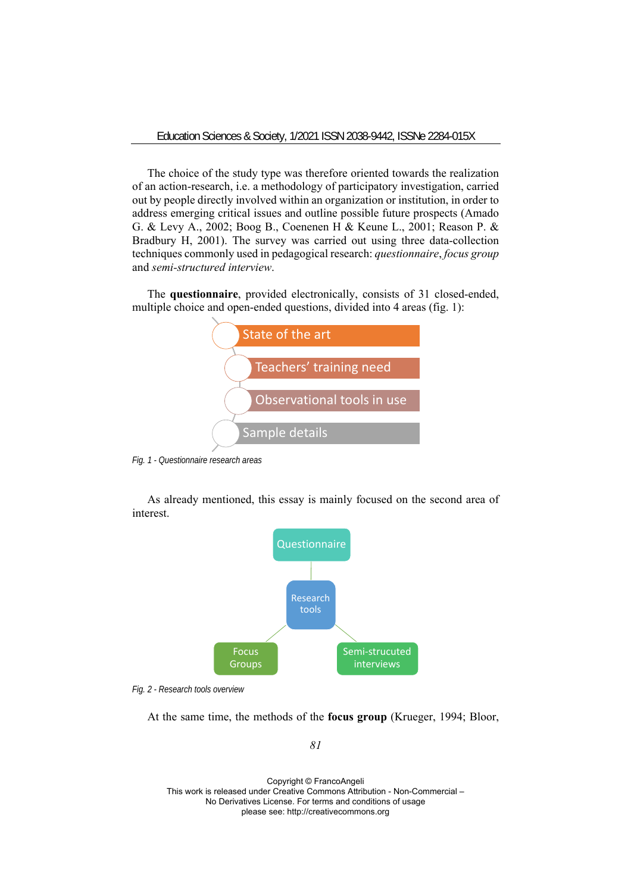The choice of the study type was therefore oriented towards the realization of an action-research, i.e. a methodology of participatory investigation, carried out by people directly involved within an organization or institution, in order to address emerging critical issues and outline possible future prospects (Amado G. & Levy A., 2002; Boog B., Coenenen H & Keune L., 2001; Reason P. & Bradbury H, 2001). The survey was carried out using three data-collection techniques commonly used in pedagogical research: *questionnaire*, *focus group* and *semi-structured interview*.

The **questionnaire**, provided electronically, consists of 31 closed-ended, multiple choice and open-ended questions, divided into 4 areas (fig. 1):



*Fig. 1 - Questionnaire research areas* 

As already mentioned, this essay is mainly focused on the second area of interest.



*Fig. 2 - Research tools overview* 

At the same time, the methods of the **focus group** (Krueger, 1994; Bloor,

*81*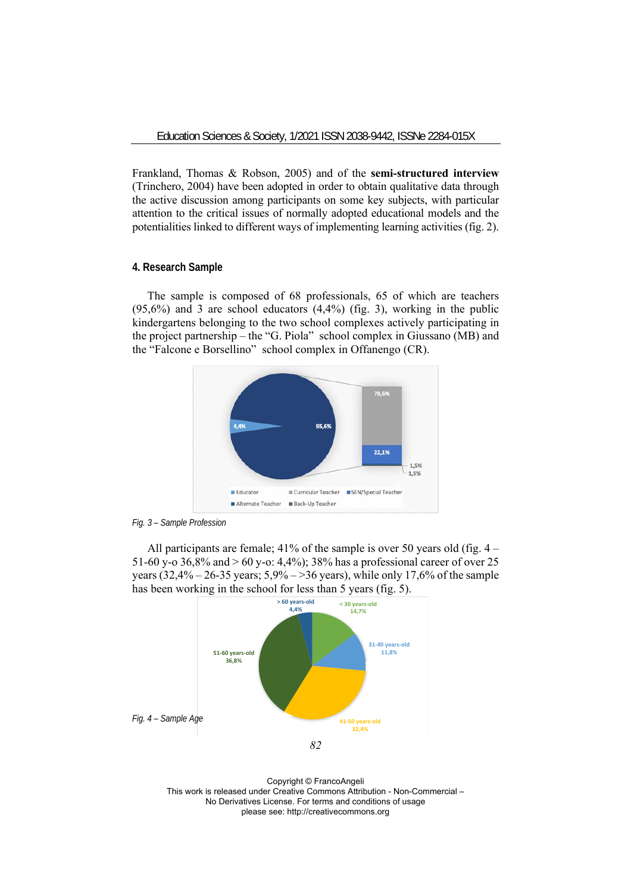Frankland, Thomas & Robson, 2005) and of the **semi-structured interview** (Trinchero, 2004) have been adopted in order to obtain qualitative data through the active discussion among participants on some key subjects, with particular attention to the critical issues of normally adopted educational models and the potentialities linked to different ways of implementing learning activities (fig. 2).

#### **4. Research Sample**

The sample is composed of 68 professionals, 65 of which are teachers  $(95,6\%)$  and 3 are school educators  $(4,4\%)$  (fig. 3), working in the public kindergartens belonging to the two school complexes actively participating in the project partnership – the "G. Piola" school complex in Giussano (MB) and the "Falcone e Borsellino" school complex in Offanengo (CR).





All participants are female; 41% of the sample is over 50 years old (fig. 4 – 51-60 y-o 36,8% and > 60 y-o: 4,4%); 38% has a professional career of over 25 years  $(32,4\% - 26-35 \text{ years}; 5,9\% - 36 \text{ years})$ , while only 17,6% of the sample has been working in the school for less than 5 years (fig. 5).



Copyright © FrancoAngeli This work is released under Creative Commons Attribution - Non-Commercial – No Derivatives License. For terms and conditions of usage please see: http://creativecommons.org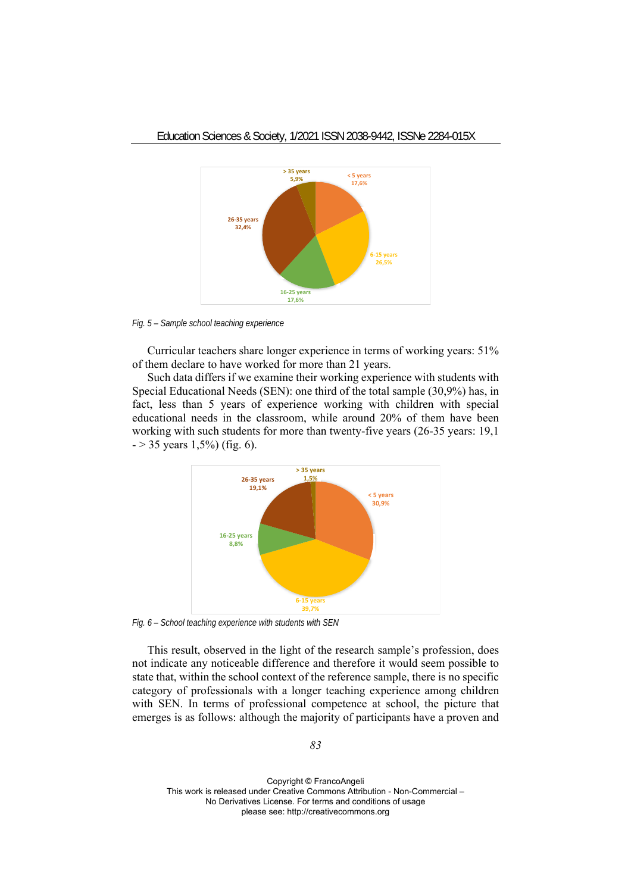

*Fig. 5 – Sample school teaching experience* 

Curricular teachers share longer experience in terms of working years: 51% of them declare to have worked for more than 21 years.

Such data differs if we examine their working experience with students with Special Educational Needs (SEN): one third of the total sample (30,9%) has, in fact, less than 5 years of experience working with children with special educational needs in the classroom, while around 20% of them have been working with such students for more than twenty-five years (26-35 years: 19,1  $-$  > 35 years 1,5%) (fig. 6).



*Fig. 6 – School teaching experience with students with SEN* 

This result, observed in the light of the research sample's profession, does not indicate any noticeable difference and therefore it would seem possible to state that, within the school context of the reference sample, there is no specific category of professionals with a longer teaching experience among children with SEN. In terms of professional competence at school, the picture that emerges is as follows: although the majority of participants have a proven and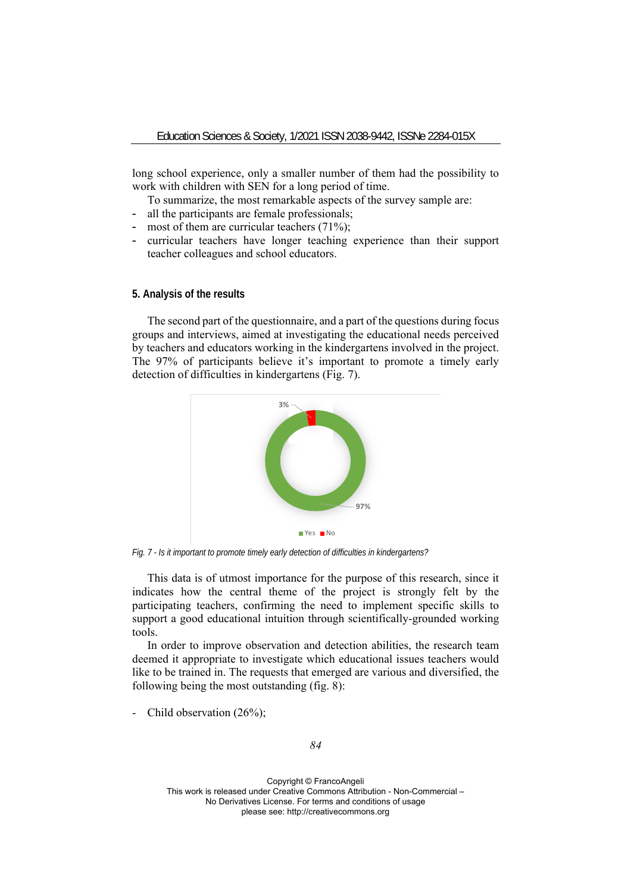long school experience, only a smaller number of them had the possibility to work with children with SEN for a long period of time.

To summarize, the most remarkable aspects of the survey sample are:

- all the participants are female professionals;
- most of them are curricular teachers (71%);
- curricular teachers have longer teaching experience than their support teacher colleagues and school educators.

#### **5. Analysis of the results**

The second part of the questionnaire, and a part of the questions during focus groups and interviews, aimed at investigating the educational needs perceived by teachers and educators working in the kindergartens involved in the project. The 97% of participants believe it's important to promote a timely early detection of difficulties in kindergartens (Fig. 7).



*Fig. 7 - Is it important to promote timely early detection of difficulties in kindergartens?* 

This data is of utmost importance for the purpose of this research, since it indicates how the central theme of the project is strongly felt by the participating teachers, confirming the need to implement specific skills to support a good educational intuition through scientifically-grounded working tools.

In order to improve observation and detection abilities, the research team deemed it appropriate to investigate which educational issues teachers would like to be trained in. The requests that emerged are various and diversified, the following being the most outstanding (fig. 8):

- Child observation (26%);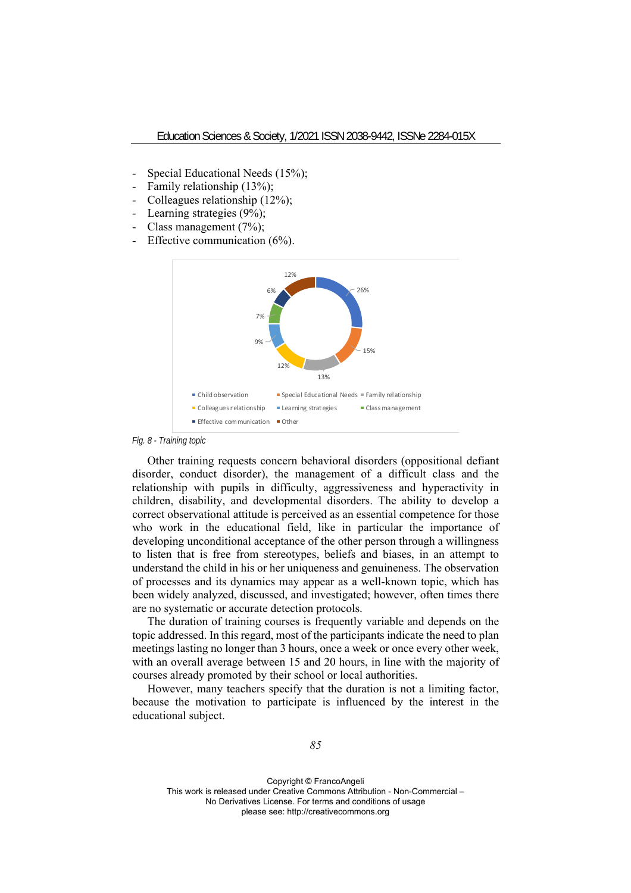- Special Educational Needs (15%);
- Family relationship (13%);
- Colleagues relationship (12%);
- Learning strategies (9%);
- Class management (7%);
- Effective communication (6%).



*Fig. 8 - Training topic* 

Other training requests concern behavioral disorders (oppositional defiant disorder, conduct disorder), the management of a difficult class and the relationship with pupils in difficulty, aggressiveness and hyperactivity in children, disability, and developmental disorders. The ability to develop a correct observational attitude is perceived as an essential competence for those who work in the educational field, like in particular the importance of developing unconditional acceptance of the other person through a willingness to listen that is free from stereotypes, beliefs and biases, in an attempt to understand the child in his or her uniqueness and genuineness. The observation of processes and its dynamics may appear as a well-known topic, which has been widely analyzed, discussed, and investigated; however, often times there are no systematic or accurate detection protocols.

The duration of training courses is frequently variable and depends on the topic addressed. In this regard, most of the participants indicate the need to plan meetings lasting no longer than 3 hours, once a week or once every other week, with an overall average between 15 and 20 hours, in line with the majority of courses already promoted by their school or local authorities.

However, many teachers specify that the duration is not a limiting factor, because the motivation to participate is influenced by the interest in the educational subject.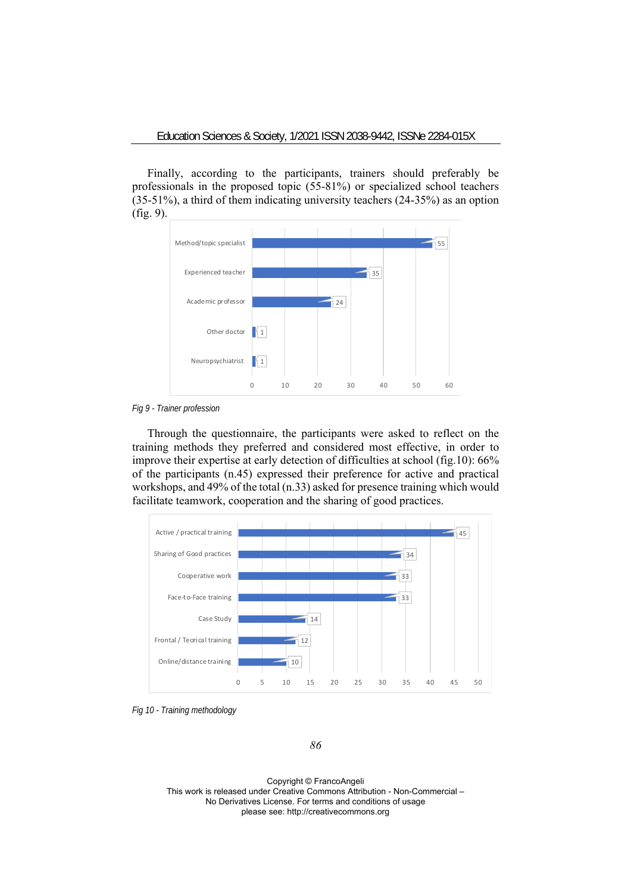Finally, according to the participants, trainers should preferably be professionals in the proposed topic (55-81%) or specialized school teachers (35-51%), a third of them indicating university teachers (24-35%) as an option (fig. 9).



*Fig 9 - Trainer profession* 

Through the questionnaire, the participants were asked to reflect on the training methods they preferred and considered most effective, in order to improve their expertise at early detection of difficulties at school (fig.10): 66% of the participants (n.45) expressed their preference for active and practical workshops, and 49% of the total (n.33) asked for presence training which would facilitate teamwork, cooperation and the sharing of good practices.



*Fig 10 - Training methodology* 

*86*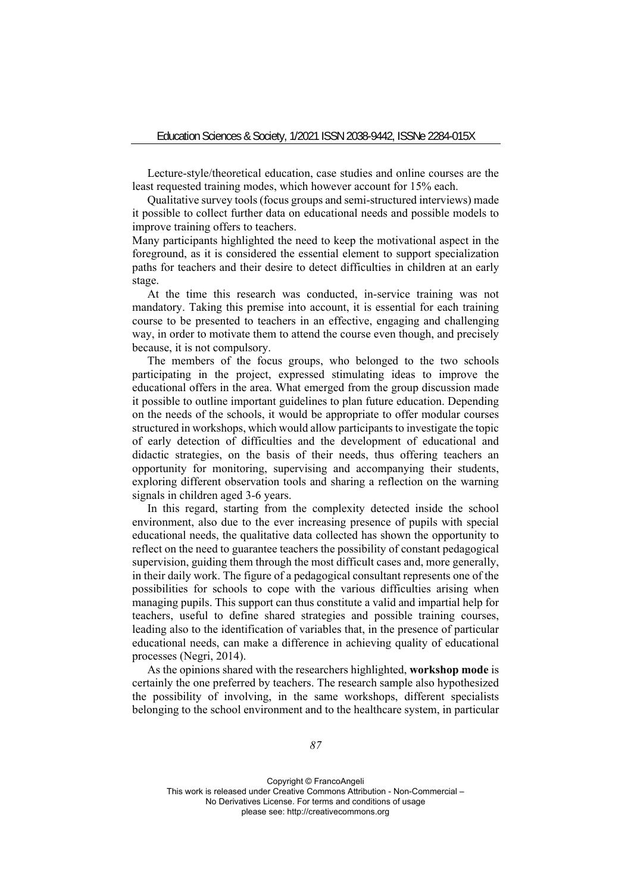Lecture-style/theoretical education, case studies and online courses are the least requested training modes, which however account for 15% each.

Qualitative survey tools (focus groups and semi-structured interviews) made it possible to collect further data on educational needs and possible models to improve training offers to teachers.

Many participants highlighted the need to keep the motivational aspect in the foreground, as it is considered the essential element to support specialization paths for teachers and their desire to detect difficulties in children at an early stage.

At the time this research was conducted, in-service training was not mandatory. Taking this premise into account, it is essential for each training course to be presented to teachers in an effective, engaging and challenging way, in order to motivate them to attend the course even though, and precisely because, it is not compulsory.

The members of the focus groups, who belonged to the two schools participating in the project, expressed stimulating ideas to improve the educational offers in the area. What emerged from the group discussion made it possible to outline important guidelines to plan future education. Depending on the needs of the schools, it would be appropriate to offer modular courses structured in workshops, which would allow participants to investigate the topic of early detection of difficulties and the development of educational and didactic strategies, on the basis of their needs, thus offering teachers an opportunity for monitoring, supervising and accompanying their students, exploring different observation tools and sharing a reflection on the warning signals in children aged 3-6 years.

In this regard, starting from the complexity detected inside the school environment, also due to the ever increasing presence of pupils with special educational needs, the qualitative data collected has shown the opportunity to reflect on the need to guarantee teachers the possibility of constant pedagogical supervision, guiding them through the most difficult cases and, more generally, in their daily work. The figure of a pedagogical consultant represents one of the possibilities for schools to cope with the various difficulties arising when managing pupils. This support can thus constitute a valid and impartial help for teachers, useful to define shared strategies and possible training courses, leading also to the identification of variables that, in the presence of particular educational needs, can make a difference in achieving quality of educational processes (Negri, 2014).

As the opinions shared with the researchers highlighted, **workshop mode** is certainly the one preferred by teachers. The research sample also hypothesized the possibility of involving, in the same workshops, different specialists belonging to the school environment and to the healthcare system, in particular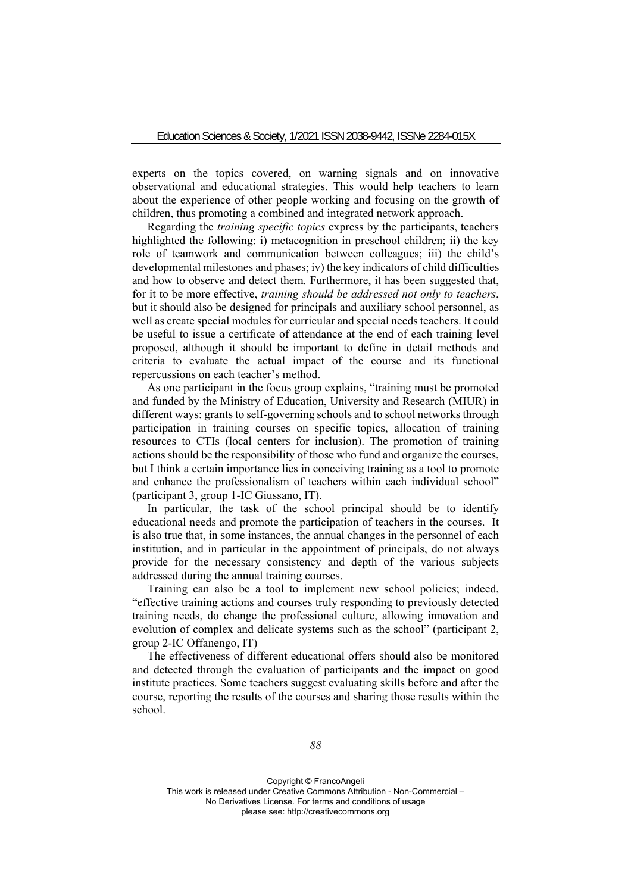experts on the topics covered, on warning signals and on innovative observational and educational strategies. This would help teachers to learn about the experience of other people working and focusing on the growth of children, thus promoting a combined and integrated network approach.

Regarding the *training specific topics* express by the participants, teachers highlighted the following: i) metacognition in preschool children; ii) the key role of teamwork and communication between colleagues; iii) the child's developmental milestones and phases; iv) the key indicators of child difficulties and how to observe and detect them. Furthermore, it has been suggested that, for it to be more effective, *training should be addressed not only to teachers*, but it should also be designed for principals and auxiliary school personnel, as well as create special modules for curricular and special needs teachers. It could be useful to issue a certificate of attendance at the end of each training level proposed, although it should be important to define in detail methods and criteria to evaluate the actual impact of the course and its functional repercussions on each teacher's method.

As one participant in the focus group explains, "training must be promoted and funded by the Ministry of Education, University and Research (MIUR) in different ways: grants to self-governing schools and to school networks through participation in training courses on specific topics, allocation of training resources to CTIs (local centers for inclusion). The promotion of training actions should be the responsibility of those who fund and organize the courses, but I think a certain importance lies in conceiving training as a tool to promote and enhance the professionalism of teachers within each individual school" (participant 3, group 1-IC Giussano, IT).

In particular, the task of the school principal should be to identify educational needs and promote the participation of teachers in the courses. It is also true that, in some instances, the annual changes in the personnel of each institution, and in particular in the appointment of principals, do not always provide for the necessary consistency and depth of the various subjects addressed during the annual training courses.

Training can also be a tool to implement new school policies; indeed, "effective training actions and courses truly responding to previously detected training needs, do change the professional culture, allowing innovation and evolution of complex and delicate systems such as the school" (participant 2, group 2-IC Offanengo, IT)

The effectiveness of different educational offers should also be monitored and detected through the evaluation of participants and the impact on good institute practices. Some teachers suggest evaluating skills before and after the course, reporting the results of the courses and sharing those results within the school.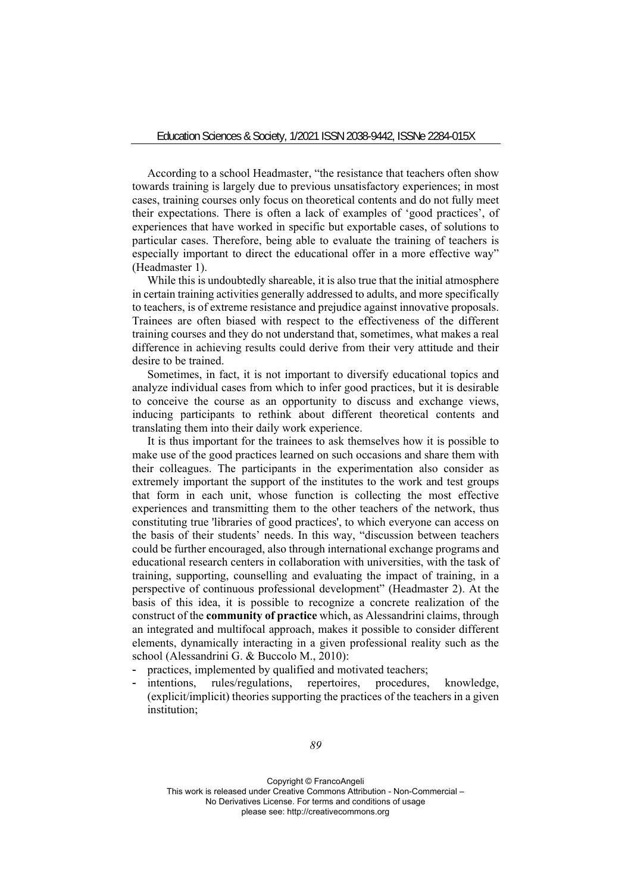According to a school Headmaster, "the resistance that teachers often show towards training is largely due to previous unsatisfactory experiences; in most cases, training courses only focus on theoretical contents and do not fully meet their expectations. There is often a lack of examples of 'good practices', of experiences that have worked in specific but exportable cases, of solutions to particular cases. Therefore, being able to evaluate the training of teachers is especially important to direct the educational offer in a more effective way" (Headmaster 1).

While this is undoubtedly shareable, it is also true that the initial atmosphere in certain training activities generally addressed to adults, and more specifically to teachers, is of extreme resistance and prejudice against innovative proposals. Trainees are often biased with respect to the effectiveness of the different training courses and they do not understand that, sometimes, what makes a real difference in achieving results could derive from their very attitude and their desire to be trained.

Sometimes, in fact, it is not important to diversify educational topics and analyze individual cases from which to infer good practices, but it is desirable to conceive the course as an opportunity to discuss and exchange views, inducing participants to rethink about different theoretical contents and translating them into their daily work experience.

It is thus important for the trainees to ask themselves how it is possible to make use of the good practices learned on such occasions and share them with their colleagues. The participants in the experimentation also consider as extremely important the support of the institutes to the work and test groups that form in each unit, whose function is collecting the most effective experiences and transmitting them to the other teachers of the network, thus constituting true 'libraries of good practices', to which everyone can access on the basis of their students' needs. In this way, "discussion between teachers could be further encouraged, also through international exchange programs and educational research centers in collaboration with universities, with the task of training, supporting, counselling and evaluating the impact of training, in a perspective of continuous professional development" (Headmaster 2). At the basis of this idea, it is possible to recognize a concrete realization of the construct of the **community of practice** which, as Alessandrini claims, through an integrated and multifocal approach, makes it possible to consider different elements, dynamically interacting in a given professional reality such as the school (Alessandrini G. & Buccolo M., 2010):

- practices, implemented by qualified and motivated teachers;
- intentions, rules/regulations, repertoires, procedures, knowledge, (explicit/implicit) theories supporting the practices of the teachers in a given institution;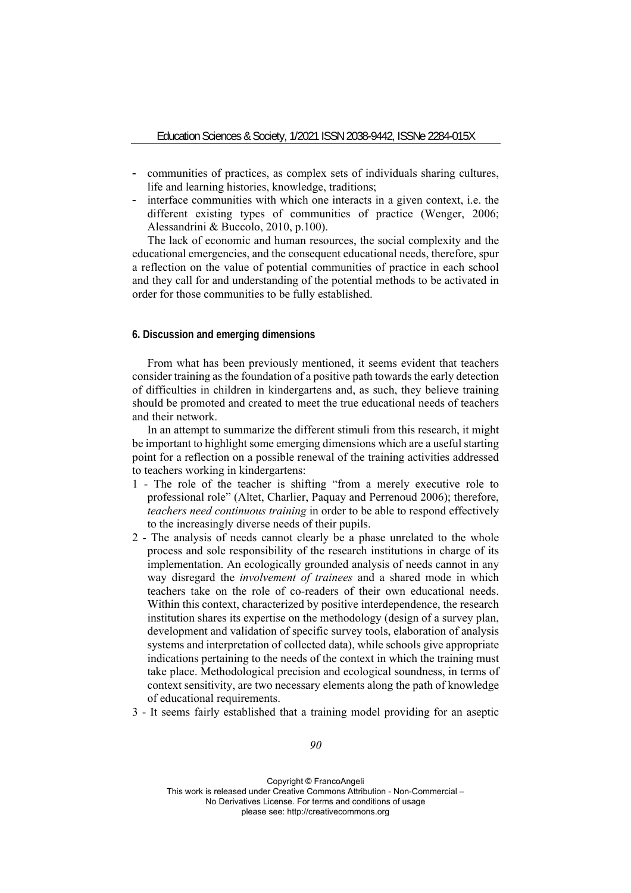- communities of practices, as complex sets of individuals sharing cultures, life and learning histories, knowledge, traditions;
- interface communities with which one interacts in a given context, i.e. the different existing types of communities of practice (Wenger, 2006; Alessandrini & Buccolo, 2010, p.100).

The lack of economic and human resources, the social complexity and the educational emergencies, and the consequent educational needs, therefore, spur a reflection on the value of potential communities of practice in each school and they call for and understanding of the potential methods to be activated in order for those communities to be fully established.

# **6. Discussion and emerging dimensions**

From what has been previously mentioned, it seems evident that teachers consider training as the foundation of a positive path towards the early detection of difficulties in children in kindergartens and, as such, they believe training should be promoted and created to meet the true educational needs of teachers and their network.

In an attempt to summarize the different stimuli from this research, it might be important to highlight some emerging dimensions which are a useful starting point for a reflection on a possible renewal of the training activities addressed to teachers working in kindergartens:

- 1 The role of the teacher is shifting "from a merely executive role to professional role" (Altet, Charlier, Paquay and Perrenoud 2006); therefore, *teachers need continuous training* in order to be able to respond effectively to the increasingly diverse needs of their pupils.
- 2 The analysis of needs cannot clearly be a phase unrelated to the whole process and sole responsibility of the research institutions in charge of its implementation. An ecologically grounded analysis of needs cannot in any way disregard the *involvement of trainees* and a shared mode in which teachers take on the role of co-readers of their own educational needs. Within this context, characterized by positive interdependence, the research institution shares its expertise on the methodology (design of a survey plan, development and validation of specific survey tools, elaboration of analysis systems and interpretation of collected data), while schools give appropriate indications pertaining to the needs of the context in which the training must take place. Methodological precision and ecological soundness, in terms of context sensitivity, are two necessary elements along the path of knowledge of educational requirements.
- 3 It seems fairly established that a training model providing for an aseptic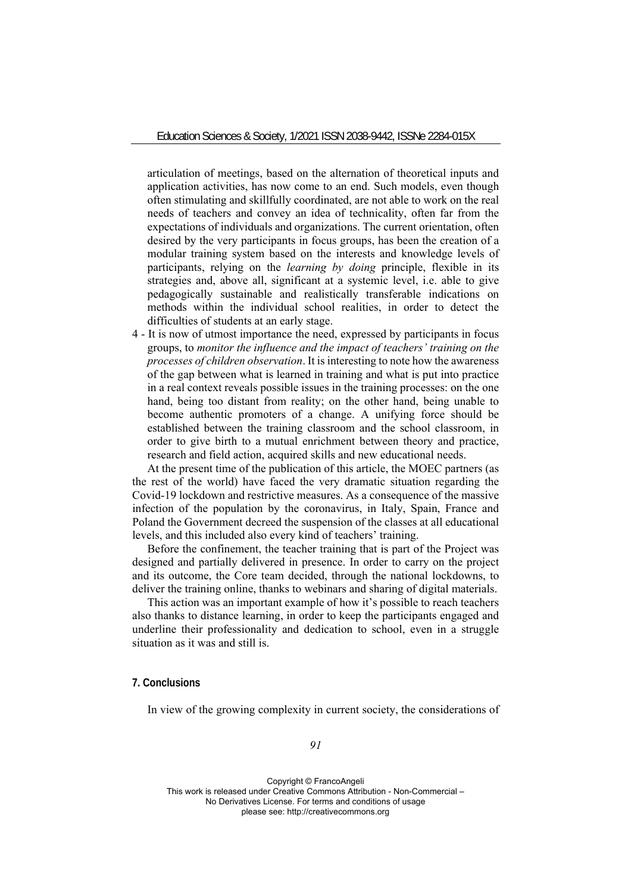articulation of meetings, based on the alternation of theoretical inputs and application activities, has now come to an end. Such models, even though often stimulating and skillfully coordinated, are not able to work on the real needs of teachers and convey an idea of technicality, often far from the expectations of individuals and organizations. The current orientation, often desired by the very participants in focus groups, has been the creation of a modular training system based on the interests and knowledge levels of participants, relying on the *learning by doing* principle, flexible in its strategies and, above all, significant at a systemic level, i.e. able to give pedagogically sustainable and realistically transferable indications on methods within the individual school realities, in order to detect the difficulties of students at an early stage.

4 - It is now of utmost importance the need, expressed by participants in focus groups, to *monitor the influence and the impact of teachers' training on the processes of children observation*. It is interesting to note how the awareness of the gap between what is learned in training and what is put into practice in a real context reveals possible issues in the training processes: on the one hand, being too distant from reality; on the other hand, being unable to become authentic promoters of a change. A unifying force should be established between the training classroom and the school classroom, in order to give birth to a mutual enrichment between theory and practice, research and field action, acquired skills and new educational needs.

At the present time of the publication of this article, the MOEC partners (as the rest of the world) have faced the very dramatic situation regarding the Covid-19 lockdown and restrictive measures. As a consequence of the massive infection of the population by the coronavirus, in Italy, Spain, France and Poland the Government decreed the suspension of the classes at all educational levels, and this included also every kind of teachers' training.

Before the confinement, the teacher training that is part of the Project was designed and partially delivered in presence. In order to carry on the project and its outcome, the Core team decided, through the national lockdowns, to deliver the training online, thanks to webinars and sharing of digital materials.

This action was an important example of how it's possible to reach teachers also thanks to distance learning, in order to keep the participants engaged and underline their professionality and dedication to school, even in a struggle situation as it was and still is.

## **7. Conclusions**

In view of the growing complexity in current society, the considerations of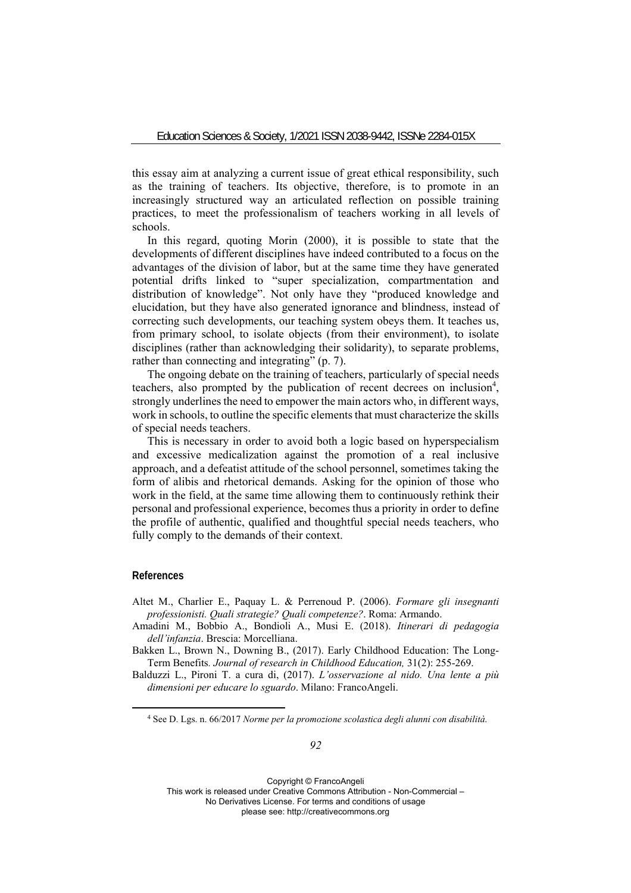this essay aim at analyzing a current issue of great ethical responsibility, such as the training of teachers. Its objective, therefore, is to promote in an increasingly structured way an articulated reflection on possible training practices, to meet the professionalism of teachers working in all levels of schools.

In this regard, quoting Morin (2000), it is possible to state that the developments of different disciplines have indeed contributed to a focus on the advantages of the division of labor, but at the same time they have generated potential drifts linked to "super specialization, compartmentation and distribution of knowledge". Not only have they "produced knowledge and elucidation, but they have also generated ignorance and blindness, instead of correcting such developments, our teaching system obeys them. It teaches us, from primary school, to isolate objects (from their environment), to isolate disciplines (rather than acknowledging their solidarity), to separate problems, rather than connecting and integrating" (p. 7).

The ongoing debate on the training of teachers, particularly of special needs teachers, also prompted by the publication of recent decrees on inclusion<sup>4</sup>, strongly underlines the need to empower the main actors who, in different ways, work in schools, to outline the specific elements that must characterize the skills of special needs teachers.

This is necessary in order to avoid both a logic based on hyperspecialism and excessive medicalization against the promotion of a real inclusive approach, and a defeatist attitude of the school personnel, sometimes taking the form of alibis and rhetorical demands. Asking for the opinion of those who work in the field, at the same time allowing them to continuously rethink their personal and professional experience, becomes thus a priority in order to define the profile of authentic, qualified and thoughtful special needs teachers, who fully comply to the demands of their context.

# **References**

- Altet M., Charlier E., Paquay L. & Perrenoud P. (2006). *Formare gli insegnanti professionisti. Quali strategie? Quali competenze?*. Roma: Armando.
- Amadini M., Bobbio A., Bondioli A., Musi E. (2018). *Itinerari di pedagogia dell'infanzia*. Brescia: Morcelliana.
- Bakken L., Brown N., Downing B., (2017). Early Childhood Education: The Long-Term Benefits*. Journal of research in Childhood Education,* 31(2): 255-269.
- Balduzzi L., Pironi T. a cura di, (2017). *L'osservazione al nido. Una lente a più dimensioni per educare lo sguardo*. Milano: FrancoAngeli.

<sup>4</sup> See D. Lgs. n. 66/2017 *Norme per la promozione scolastica degli alunni con disabilità*.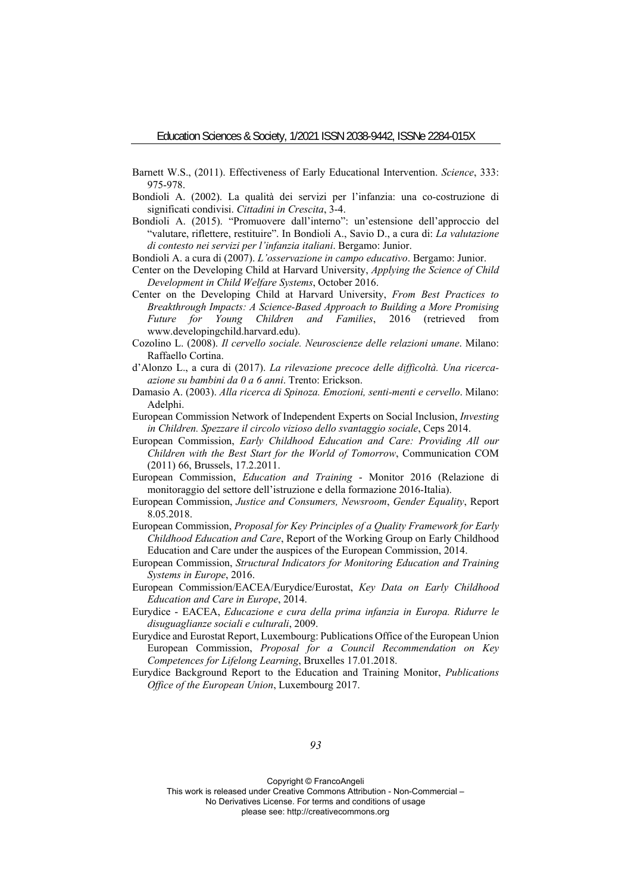- Barnett W.S., (2011). Effectiveness of Early Educational Intervention. *Science*, 333: 975-978.
- Bondioli A. (2002). La qualità dei servizi per l'infanzia: una co-costruzione di significati condivisi. *Cittadini in Crescita*, 3-4.
- Bondioli A. (2015). "Promuovere dall'interno": un'estensione dell'approccio del "valutare, riflettere, restituire". In Bondioli A., Savio D., a cura di: *La valutazione di contesto nei servizi per l'infanzia italiani*. Bergamo: Junior.

Bondioli A. a cura di (2007). *L'osservazione in campo educativo*. Bergamo: Junior.

- Center on the Developing Child at Harvard University, *Applying the Science of Child Development in Child Welfare Systems*, October 2016.
- Center on the Developing Child at Harvard University, *From Best Practices to Breakthrough Impacts: A Science-Based Approach to Building a More Promising Future for Young Children and Families*, 2016 (retrieved from www.developingchild.harvard.edu).
- Cozolino L. (2008). *Il cervello sociale. Neuroscienze delle relazioni umane*. Milano: Raffaello Cortina.
- d'Alonzo L., a cura di (2017). *La rilevazione precoce delle difficoltà. Una ricercaazione su bambini da 0 a 6 anni*. Trento: Erickson.
- Damasio A. (2003). *Alla ricerca di Spinoza. Emozioni, senti-menti e cervello*. Milano: Adelphi.
- European Commission Network of Independent Experts on Social Inclusion, *Investing in Children. Spezzare il circolo vizioso dello svantaggio sociale*, Ceps 2014.
- European Commission, *Early Childhood Education and Care: Providing All our Children with the Best Start for the World of Tomorrow*, Communication COM (2011) 66, Brussels, 17.2.2011.
- European Commission, *Education and Training*  Monitor 2016 (Relazione di monitoraggio del settore dell'istruzione e della formazione 2016-Italia).
- European Commission, *Justice and Consumers, Newsroom*, *Gender Equality*, Report 8.05.2018.
- European Commission, *Proposal for Key Principles of a Quality Framework for Early Childhood Education and Care*, Report of the Working Group on Early Childhood Education and Care under the auspices of the European Commission, 2014.
- European Commission, *Structural Indicators for Monitoring Education and Training Systems in Europe*, 2016.
- European Commission/EACEA/Eurydice/Eurostat, *Key Data on Early Childhood Education and Care in Europe*, 2014.
- Eurydice EACEA, *Educazione e cura della prima infanzia in Europa. Ridurre le disuguaglianze sociali e culturali*, 2009.
- Eurydice and Eurostat Report, Luxembourg: Publications Office of the European Union European Commission, *Proposal for a Council Recommendation on Key Competences for Lifelong Learning*, Bruxelles 17.01.2018.
- Eurydice Background Report to the Education and Training Monitor, *Publications Office of the European Union*, Luxembourg 2017.